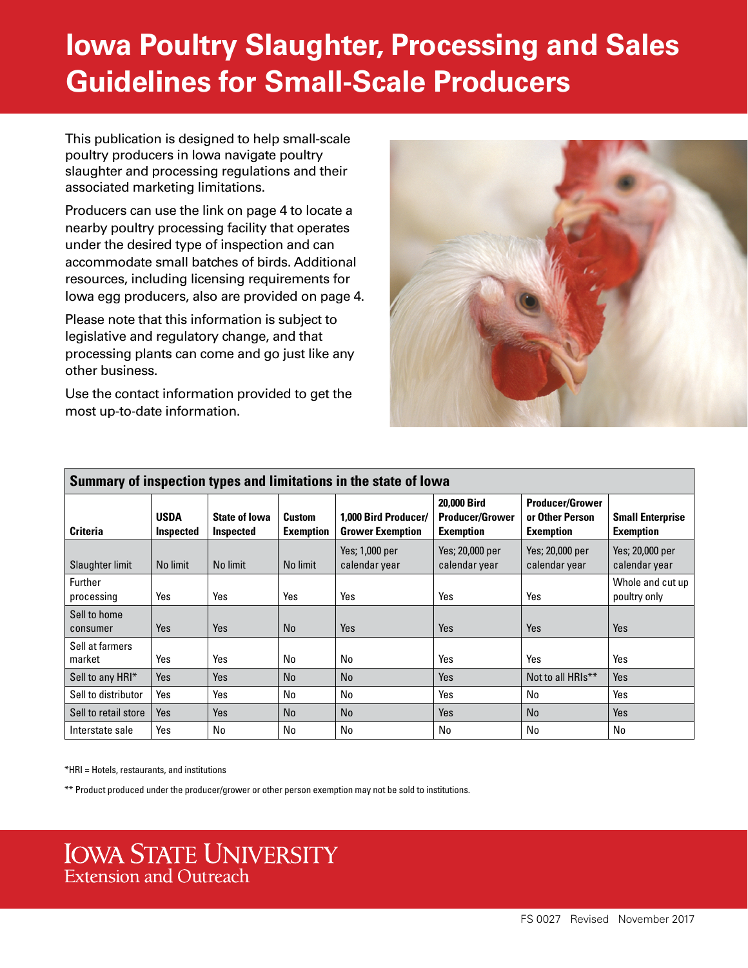# **Iowa Poultry Slaughter, Processing and Sales Guidelines for Small-Scale Producers**

This publication is designed to help small-scale poultry producers in Iowa navigate poultry slaughter and processing regulations and their associated marketing limitations.

Producers can use the link on page 4 to locate a nearby poultry processing facility that operates under the desired type of inspection and can accommodate small batches of birds. Additional resources, including licensing requirements for Iowa egg producers, also are provided on page 4.

Please note that this information is subject to legislative and regulatory change, and that processing plants can come and go just like any other business.

Use the contact information provided to get the most up-to-date information.



| Summary of inspection types and limitations in the state of lowa |                                 |                                          |                                   |                                                 |                                                           |                                                               |                                             |  |
|------------------------------------------------------------------|---------------------------------|------------------------------------------|-----------------------------------|-------------------------------------------------|-----------------------------------------------------------|---------------------------------------------------------------|---------------------------------------------|--|
| <b>Criteria</b>                                                  | <b>USDA</b><br><b>Inspected</b> | <b>State of lowa</b><br><b>Inspected</b> | <b>Custom</b><br><b>Exemption</b> | 1.000 Bird Producer/<br><b>Grower Exemption</b> | 20.000 Bird<br><b>Producer/Grower</b><br><b>Exemption</b> | <b>Producer/Grower</b><br>or Other Person<br><b>Exemption</b> | <b>Small Enterprise</b><br><b>Exemption</b> |  |
| Slaughter limit                                                  | No limit                        | No limit                                 | No limit                          | Yes; 1,000 per<br>calendar year                 | Yes; 20,000 per<br>calendar year                          | Yes; 20,000 per<br>calendar year                              | Yes; 20,000 per<br>calendar year            |  |
| Further<br>processing                                            | Yes                             | Yes                                      | Yes                               | Yes                                             | Yes                                                       | Yes                                                           | Whole and cut up<br>poultry only            |  |
| Sell to home<br>consumer                                         | <b>Yes</b>                      | Yes                                      | No                                | Yes                                             | Yes                                                       | <b>Yes</b>                                                    | Yes                                         |  |
| Sell at farmers<br>market                                        | Yes                             | Yes                                      | No                                | No                                              | Yes                                                       | Yes                                                           | Yes                                         |  |
| Sell to any HRI*                                                 | Yes                             | Yes                                      | <b>No</b>                         | <b>No</b>                                       | Yes                                                       | Not to all HRIs <sup>**</sup>                                 | Yes                                         |  |
| Sell to distributor                                              | Yes                             | Yes                                      | No                                | No                                              | Yes                                                       | No                                                            | Yes                                         |  |
| Sell to retail store                                             | Yes                             | Yes                                      | <b>No</b>                         | No                                              | <b>Yes</b>                                                | No                                                            | Yes                                         |  |
| Interstate sale                                                  | Yes                             | No                                       | No                                | No                                              | No                                                        | No                                                            | No                                          |  |

\*HRI = Hotels, restaurants, and institutions

\*\* Product produced under the producer/grower or other person exemption may not be sold to institutions.

# **IOWA STATE UNIVERSITY Extension and Outreach**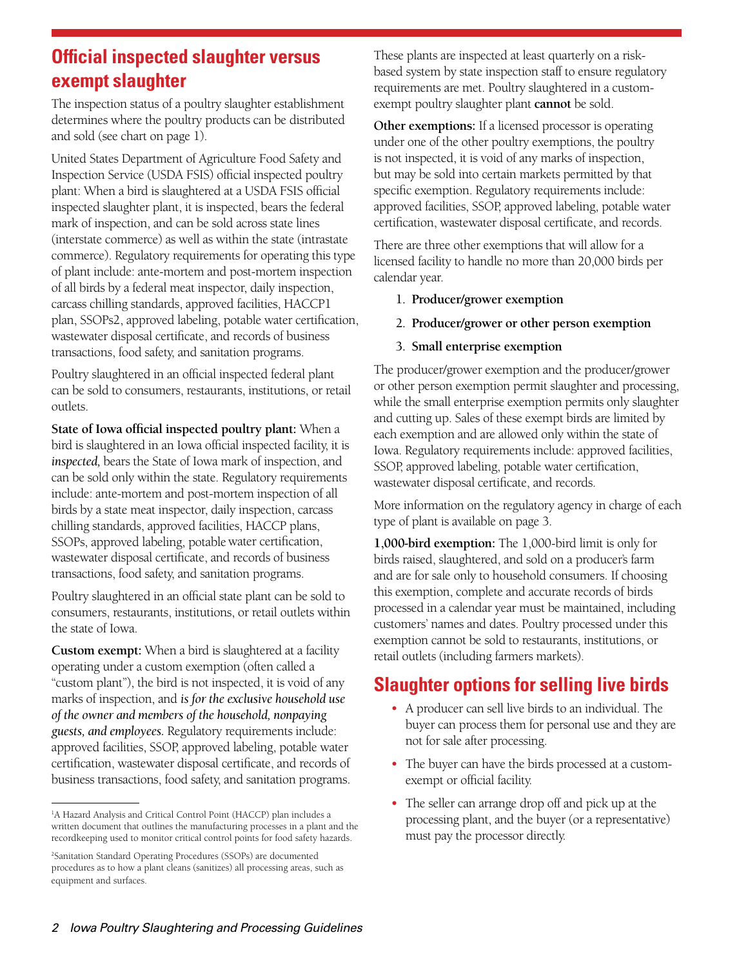## **Official inspected slaughter versus exempt slaughter**

The inspection status of a poultry slaughter establishment determines where the poultry products can be distributed and sold (see chart on page 1).

United States Department of Agriculture Food Safety and Inspection Service (USDA FSIS) official inspected poultry plant: When a bird is slaughtered at a USDA FSIS official inspected slaughter plant, it is inspected, bears the federal mark of inspection, and can be sold across state lines (interstate commerce) as well as within the state (intrastate commerce). Regulatory requirements for operating this type of plant include: ante-mortem and post-mortem inspection of all birds by a federal meat inspector, daily inspection, carcass chilling standards, approved facilities, HACCP1 plan, SSOPs2, approved labeling, potable water certification, wastewater disposal certificate, and records of business transactions, food safety, and sanitation programs.

Poultry slaughtered in an official inspected federal plant can be sold to consumers, restaurants, institutions, or retail outlets.

**State of Iowa official inspected poultry plant:** When a bird is slaughtered in an Iowa official inspected facility, it is *inspected,* bears the State of Iowa mark of inspection, and can be sold only within the state. Regulatory requirements include: ante-mortem and post-mortem inspection of all birds by a state meat inspector, daily inspection, carcass chilling standards, approved facilities, HACCP plans, SSOPs, approved labeling, potable water certification, wastewater disposal certificate, and records of business transactions, food safety, and sanitation programs.

Poultry slaughtered in an official state plant can be sold to consumers, restaurants, institutions, or retail outlets within the state of Iowa.

**Custom exempt:** When a bird is slaughtered at a facility operating under a custom exemption (often called a "custom plant"), the bird is not inspected, it is void of any marks of inspection, and *is for the exclusive household use of the owner and members of the household, nonpaying guests, and employees.* Regulatory requirements include: approved facilities, SSOP, approved labeling, potable water certification, wastewater disposal certificate, and records of business transactions, food safety, and sanitation programs.

These plants are inspected at least quarterly on a riskbased system by state inspection staff to ensure regulatory requirements are met. Poultry slaughtered in a customexempt poultry slaughter plant **cannot** be sold.

**Other exemptions:** If a licensed processor is operating under one of the other poultry exemptions, the poultry is not inspected, it is void of any marks of inspection, but may be sold into certain markets permitted by that specific exemption. Regulatory requirements include: approved facilities, SSOP, approved labeling, potable water certification, wastewater disposal certificate, and records.

There are three other exemptions that will allow for a licensed facility to handle no more than 20,000 birds per calendar year.

- 1. **Producer/grower exemption**
- 2. **Producer/grower or other person exemption**
- 3. **Small enterprise exemption**

The producer/grower exemption and the producer/grower or other person exemption permit slaughter and processing, while the small enterprise exemption permits only slaughter and cutting up. Sales of these exempt birds are limited by each exemption and are allowed only within the state of Iowa. Regulatory requirements include: approved facilities, SSOP, approved labeling, potable water certification, wastewater disposal certificate, and records.

More information on the regulatory agency in charge of each type of plant is available on page 3.

**1,000-bird exemption:** The 1,000-bird limit is only for birds raised, slaughtered, and sold on a producer's farm and are for sale only to household consumers. If choosing this exemption, complete and accurate records of birds processed in a calendar year must be maintained, including customers' names and dates. Poultry processed under this exemption cannot be sold to restaurants, institutions, or retail outlets (including farmers markets).

# **Slaughter options for selling live birds**

- *•* A producer can sell live birds to an individual. The buyer can process them for personal use and they are not for sale after processing.
- *•* The buyer can have the birds processed at a customexempt or official facility.
- *•* The seller can arrange drop off and pick up at the processing plant, and the buyer (or a representative) must pay the processor directly.

<sup>&</sup>lt;sup>1</sup>A Hazard Analysis and Critical Control Point (HACCP) plan includes a written document that outlines the manufacturing processes in a plant and the recordkeeping used to monitor critical control points for food safety hazards.

<sup>2</sup> Sanitation Standard Operating Procedures (SSOPs) are documented procedures as to how a plant cleans (sanitizes) all processing areas, such as equipment and surfaces.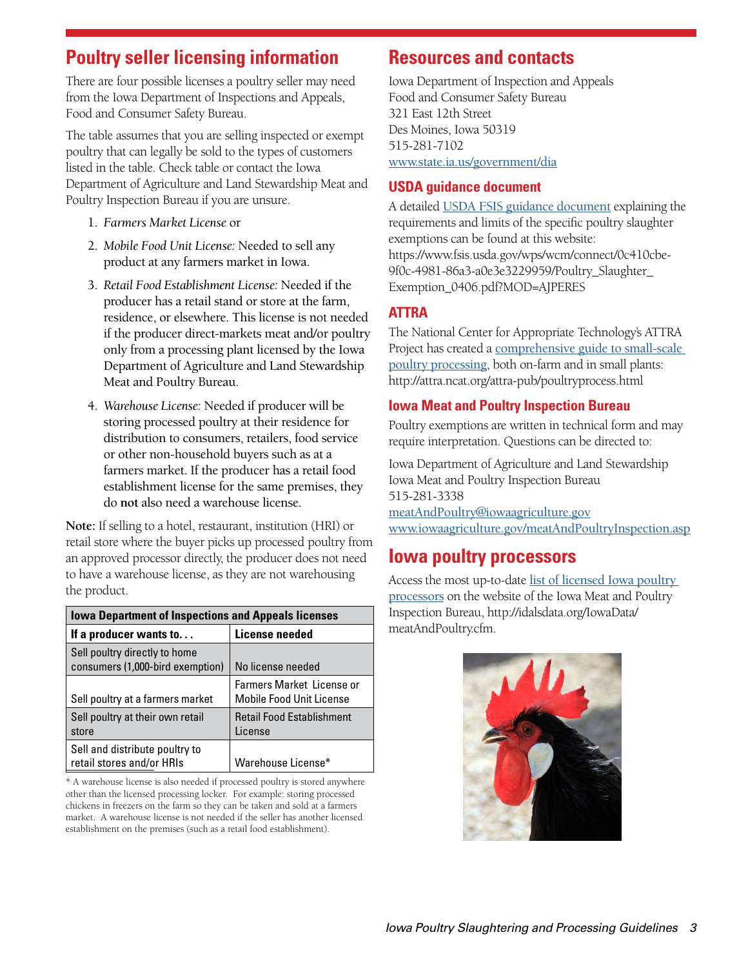# **Poultry seller licensing information**

There are four possible licenses a poultry seller may need from the Iowa Department of Inspections and Appeals, Food and Consumer Safety Bureau.

The table assumes that you are selling inspected or exempt poultry that can legally be sold to the types of customers listed in the table. Check table or contact the Iowa Department of Agriculture and Land Stewardship Meat and Poultry Inspection Bureau if you are unsure.

- 1. *Farmers Market License* or
- 2. *Mobile Food Unit License:* Needed to sell any product at any farmers market in Iowa.
- 3. *Retail Food Establishment License:* Needed if the producer has a retail stand or store at the farm, residence, or elsewhere. This license is not needed if the producer direct-markets meat and/or poultry only from a processing plant licensed by the Iowa Department of Agriculture and Land Stewardship Meat and Poultry Bureau.
- 4. *Warehouse License:* Needed if producer will be storing processed poultry at their residence for distribution to consumers, retailers, food service or other non-household buyers such as at a farmers market. If the producer has a retail food establishment license for the same premises, they do **not** also need a warehouse license.

**Note:** If selling to a hotel, restaurant, institution (HRI) or retail store where the buyer picks up processed poultry from an approved processor directly, the producer does not need to have a warehouse license, as they are not warehousing the product.

| <b>Iowa Department of Inspections and Appeals licenses</b>        |                                                                     |  |  |  |  |
|-------------------------------------------------------------------|---------------------------------------------------------------------|--|--|--|--|
| If a producer wants to                                            | License needed                                                      |  |  |  |  |
| Sell poultry directly to home<br>consumers (1,000-bird exemption) | No license needed                                                   |  |  |  |  |
| Sell poultry at a farmers market                                  | <b>Farmers Market License or</b><br><b>Mobile Food Unit License</b> |  |  |  |  |
| Sell poultry at their own retail<br>store                         | <b>Retail Food Establishment</b><br>License                         |  |  |  |  |
| Sell and distribute poultry to<br>retail stores and/or HRIs       | Warehouse License*                                                  |  |  |  |  |

\* A warehouse license is also needed if processed poultry is stored anywhere other than the licensed processing locker. For example: storing processed chickens in freezers on the farm so they can be taken and sold at a farmers market. A warehouse license is not needed if the seller has another licensed establishment on the premises (such as a retail food establishment).

### **Resources and contacts**

Iowa Department of Inspection and Appeals Food and Consumer Safety Bureau 321 East 12th Street Des Moines, Iowa 50319 515-281-7102 <www.state.ia.us/government/dia>

### **USDA guidance document**

A detailed [USDA FSIS guidance document](https://www.fsis.usda.gov/wps/wcm/connect/0c410cbe-9f0c-4981-86a3-a0e3e3229959/Poultry_Slaughter_Exemption_0406.pdf?MOD=AJPERES) explaining the requirements and limits of the specific poultry slaughter exemptions can be found at this website: https://www.fsis.usda.gov/wps/wcm/connect/0c410cbe-9f0c-4981-86a3-a0e3e3229959/Poultry\_Slaughter\_ Exemption\_0406.pdf?MOD=AJPERES

### **ATTRA**

The National Center for Appropriate Technology's ATTRA Project has created a [comprehensive guide to small-scale](http://attra.ncat.org/attra-pub/poultryprocess.html)  [poultry processing](http://attra.ncat.org/attra-pub/poultryprocess.html), both on-farm and in small plants: http://attra.ncat.org/attra-pub/poultryprocess.html

### **Iowa Meat and Poultry Inspection Bureau**

Poultry exemptions are written in technical form and may require interpretation. Questions can be directed to:

Iowa Department of Agriculture and Land Stewardship Iowa Meat and Poultry Inspection Bureau 515-281-3338 [meatAndPoultry@iowaagriculture.gov](mailto:meatAndPoultry@iowaagriculture.gov) <www.iowaagriculture.gov/meatAndPoultryInspection.asp>

## **Iowa poultry processors**

Access the most up-to-date [list of licensed Iowa poultry](http://idalsdata.org/IowaData/meatAndPoultry.cfm)  [processors](http://idalsdata.org/IowaData/meatAndPoultry.cfm) on the website of the Iowa Meat and Poultry Inspection Bureau, http://idalsdata.org/IowaData/ meatAndPoultry.cfm.